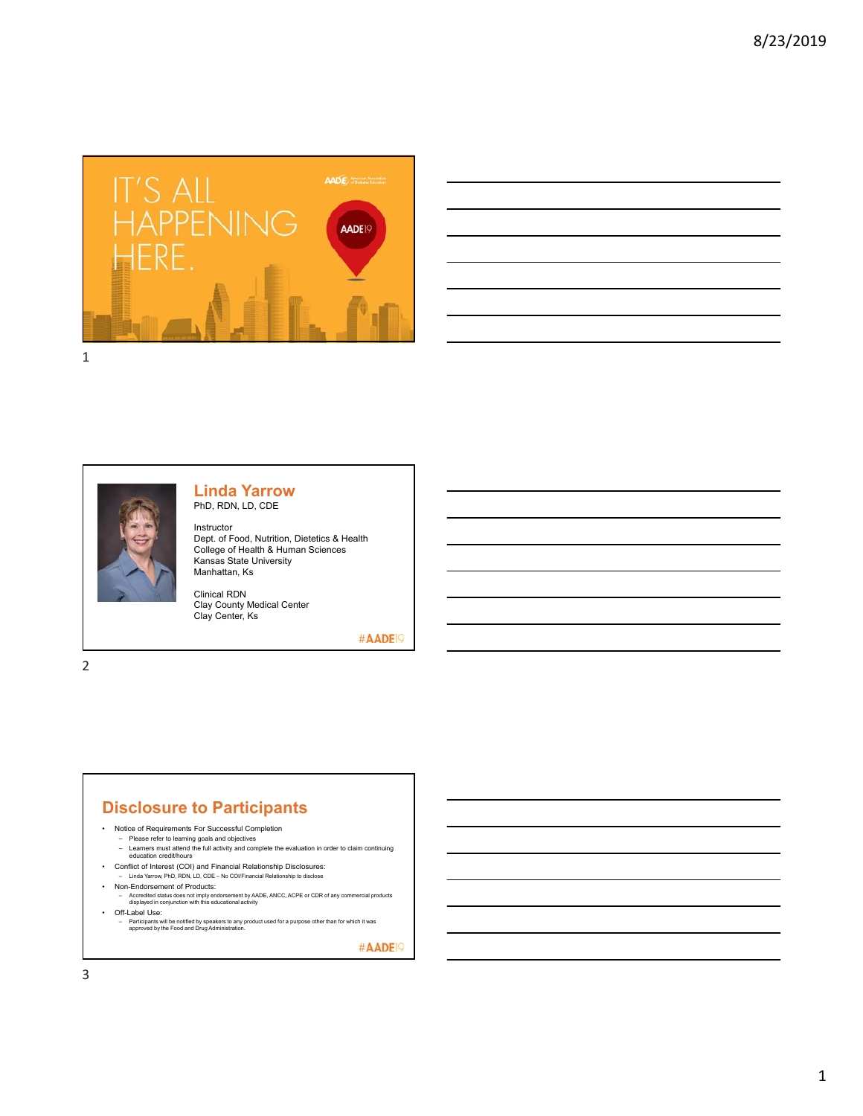



#### **Linda Yarrow** PhD, RDN, LD, CDE

Instructor Dept. of Food, Nutrition, Dietetics & Health College of Health & Human Sciences Kansas State University Manhattan, Ks

Clinical RDN Clay County Medical Center Clay Center, Ks

#AADE<sup>19</sup>

2

### **Disclosure to Participants**

- Notice of Requirements For Successful Completion
	-
	- Please refer to learning goals and objectives Learners must attend the full activity and complete the evaluation in order to claim continuing education credit/hours
- Conflict of Interest (COI) and Financial Relationship Disclosures: Linda Yarrow, PhD, RDN, LD, CDE No COI/Financial Relationship to disclose
- 
- Non-Endorsement of Products:
- Accredited status does not imply endorsement by AADE, ANCC, ACPE or CDR of any commercial products displayed in conjunction with this educational activity • Off-Label Use:
	- Participants will be notified by speakers to any product used for a purpose other than for which it was approved by the Food and Drug Administration.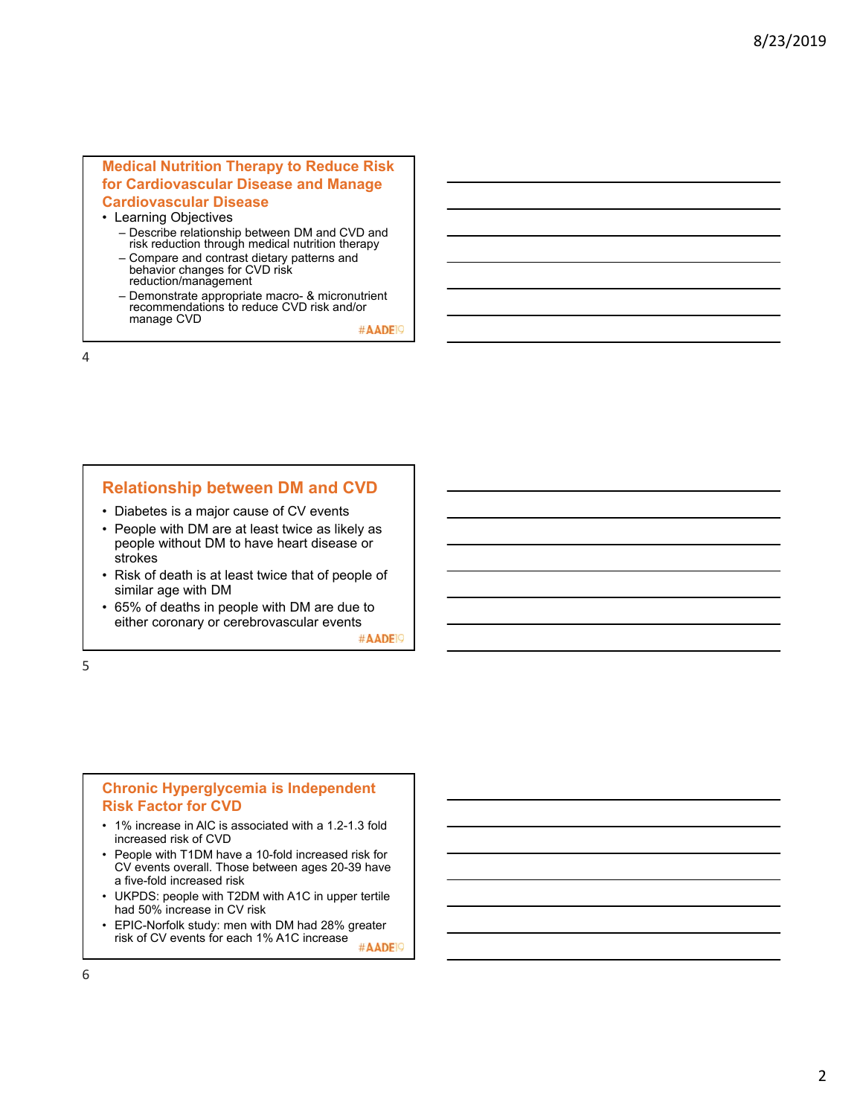#### **Medical Nutrition Therapy to Reduce Risk for Cardiovascular Disease and Manage Cardiovascular Disease**

- Learning Objectives
	- Describe relationship between DM and CVD and risk reduction through medical nutrition therapy
	- Compare and contrast dietary patterns and behavior changes for CVD risk reduction/management
	- Demonstrate appropriate macro- & micronutrient recommendations to reduce CVD risk and/or manage CVD

#AADE<sup>1</sup>

4

### **Relationship between DM and CVD**

- Diabetes is a major cause of CV events
- People with DM are at least twice as likely as people without DM to have heart disease or strokes
- Risk of death is at least twice that of people of similar age with DM
- 65% of deaths in people with DM are due to either coronary or cerebrovascular events

#AADE<sup>19</sup>

5

#### **Chronic Hyperglycemia is Independent Risk Factor for CVD**

- 1% increase in AlC is associated with a 1.2-1.3 fold increased risk of CVD
- People with T1DM have a 10-fold increased risk for CV events overall. Those between ages 20-39 have a five-fold increased risk
- UKPDS: people with T2DM with A1C in upper tertile had 50% increase in CV risk
- EPIC-Norfolk study: men with DM had 28% greater risk of CV events for each 1% A1C increase #AADE<sup>19</sup>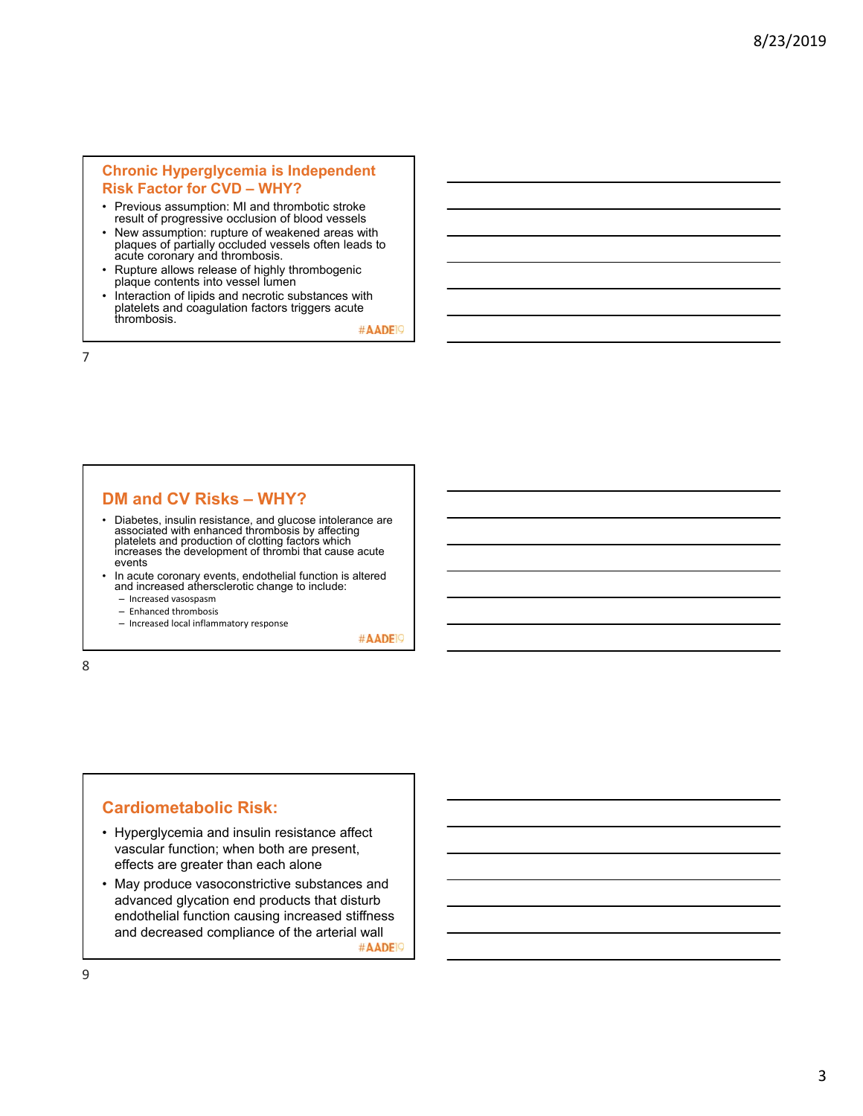#### **Chronic Hyperglycemia is Independent Risk Factor for CVD – WHY?**

- Previous assumption: MI and thrombotic stroke result of progressive occlusion of blood vessels
- New assumption: rupture of weakened areas with plaques of partially occluded vessels often leads to acute coronary and thrombosis.
- Rupture allows release of highly thrombogenic plaque contents into vessel lumen
- Interaction of lipids and necrotic substances with platelets and coagulation factors triggers acute thrombosis.

#AADE<sup>1</sup>

7

### **DM and CV Risks – WHY?**

- Diabetes, insulin resistance, and glucose intolerance are associated with enhanced thrombosis by affecting platelets and production of clotting factors which increases the development of thrombi that cause acute events
- In acute coronary events, endothelial function is altered and increased athersclerotic change to include:
	- Increased vasospasm
	- Enhanced thrombosis
	- Increased local inflammatory response

#AADE<sup>19</sup>

8

# **Cardiometabolic Risk:**

- Hyperglycemia and insulin resistance affect vascular function; when both are present, effects are greater than each alone
- May produce vasoconstrictive substances and advanced glycation end products that disturb endothelial function causing increased stiffness and decreased compliance of the arterial wall #AADE<sup>19</sup>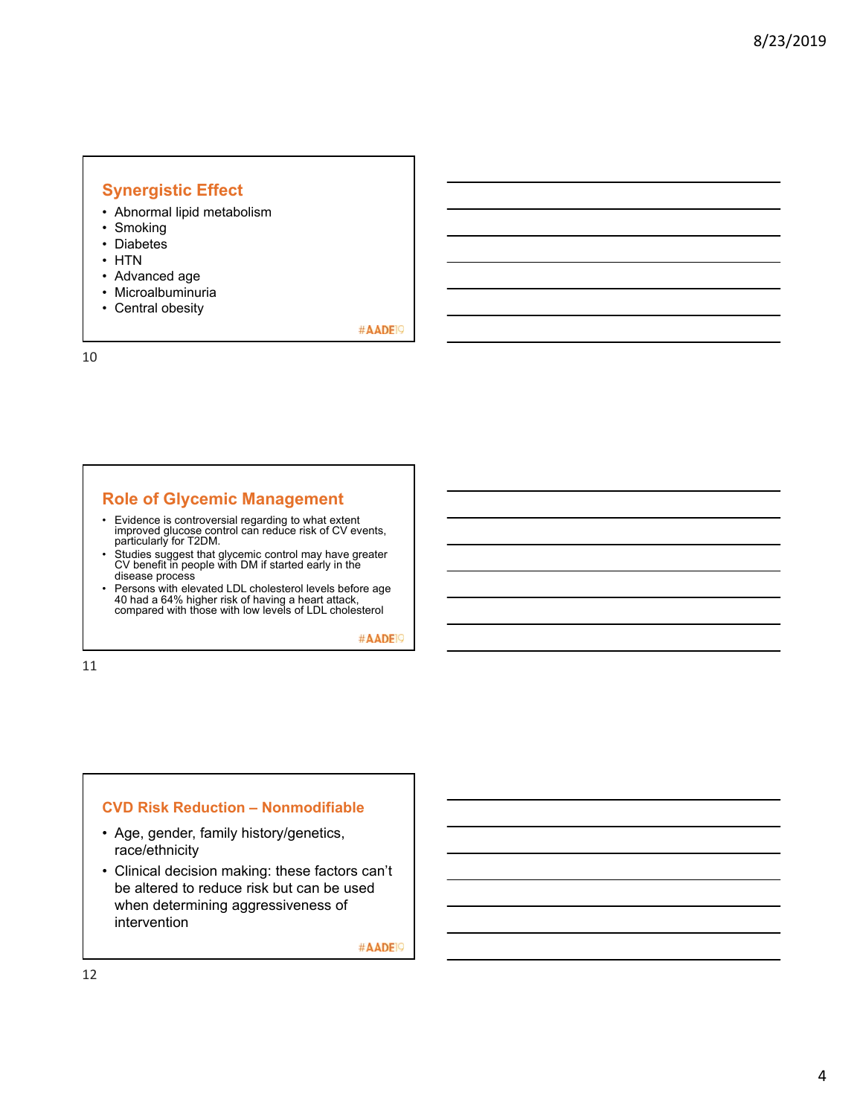# **Synergistic Effect**

- Abnormal lipid metabolism
- Smoking
- Diabetes
- HTN
- Advanced age
- Microalbuminuria
- Central obesity

#AADE<sup>19</sup>

10

### **Role of Glycemic Management**

- Evidence is controversial regarding to what extent improved glucose control can reduce risk of CV events, particularly for T2DM.
- Studies suggest that glycemic control may have greater CV benefit in people with DM if started early in the disease process
- Persons with elevated LDL cholesterol levels before age 40 had a 64% higher risk of having a heart attack, compared with those with low levels of LDL cholesterol

#AADE<sup>19</sup>

11

### **CVD Risk Reduction – Nonmodifiable**

- Age, gender, family history/genetics, race/ethnicity
- Clinical decision making: these factors can't be altered to reduce risk but can be used when determining aggressiveness of intervention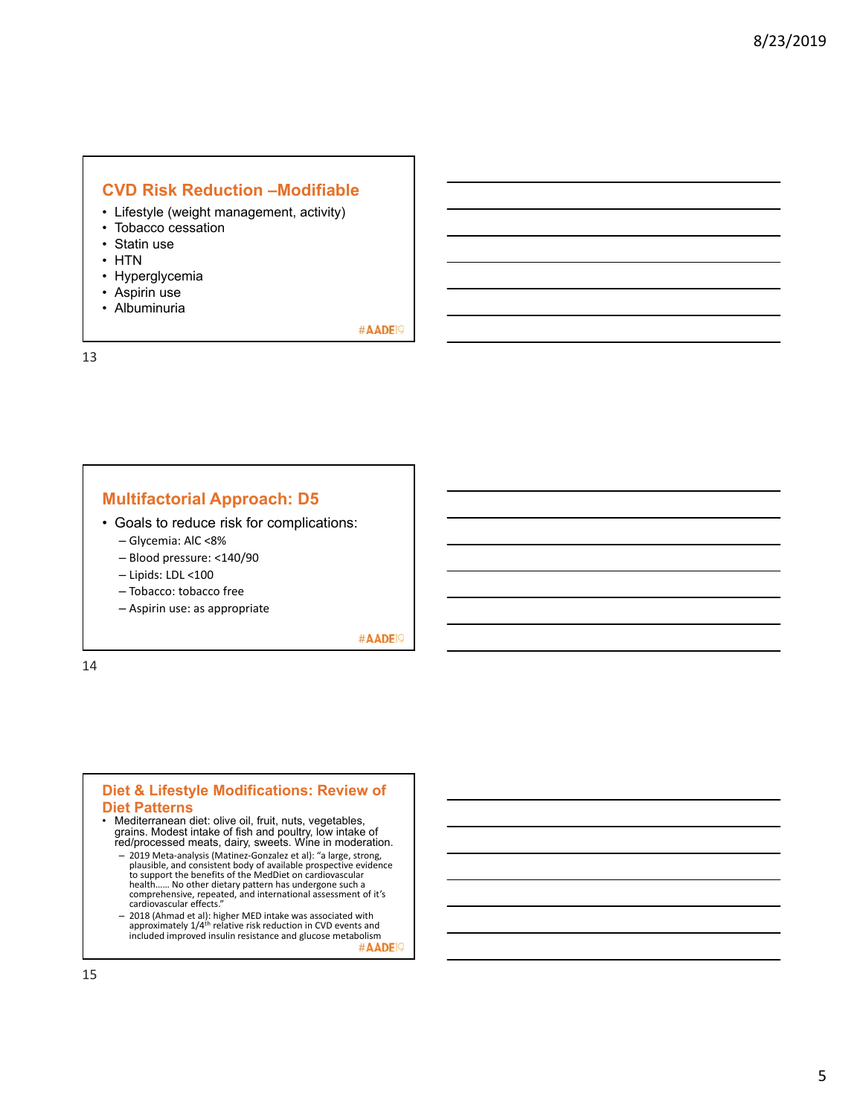# **CVD Risk Reduction –Modifiable**

- Lifestyle (weight management, activity)
- Tobacco cessation
- Statin use
- HTN
- Hyperglycemia
- Aspirin use
- Albuminuria

#AADE<sup>19</sup>

13

## **Multifactorial Approach: D5**

- Goals to reduce risk for complications:
	- Glycemia: AlC <8%
	- Blood pressure: <140/90
	- Lipids: LDL <100
	- Tobacco: tobacco free
	- Aspirin use: as appropriate

#AADE<sup>19</sup>

14

#### **Diet & Lifestyle Modifications: Review of Diet Patterns**

- 
- Mediterranean diet: olive oil, fruit, nuts, vegetables, grains. Modest intake of fish and poultry, low intake of red/processed meats, dairy, sweets. Wine in moderation.
	- 2019 Meta‐analysis (Matinez‐Gonzalez et al): "a large, strong, plausible, and consistent body of available prospective evidence<br>to support the benefits of the MedDiet on cardiovascular<br>health...... No other dietary pattern has undergone such a<br>comprehensive, repeated, and internationa
	- 2018 (Ahmad et al): higher MED intake was associated with approximately 1/4th relative risk reduction in CVD events and included improved insulin resistance and glucose metabolism<br> $\# \mathsf{AADE} \, \heartsuit$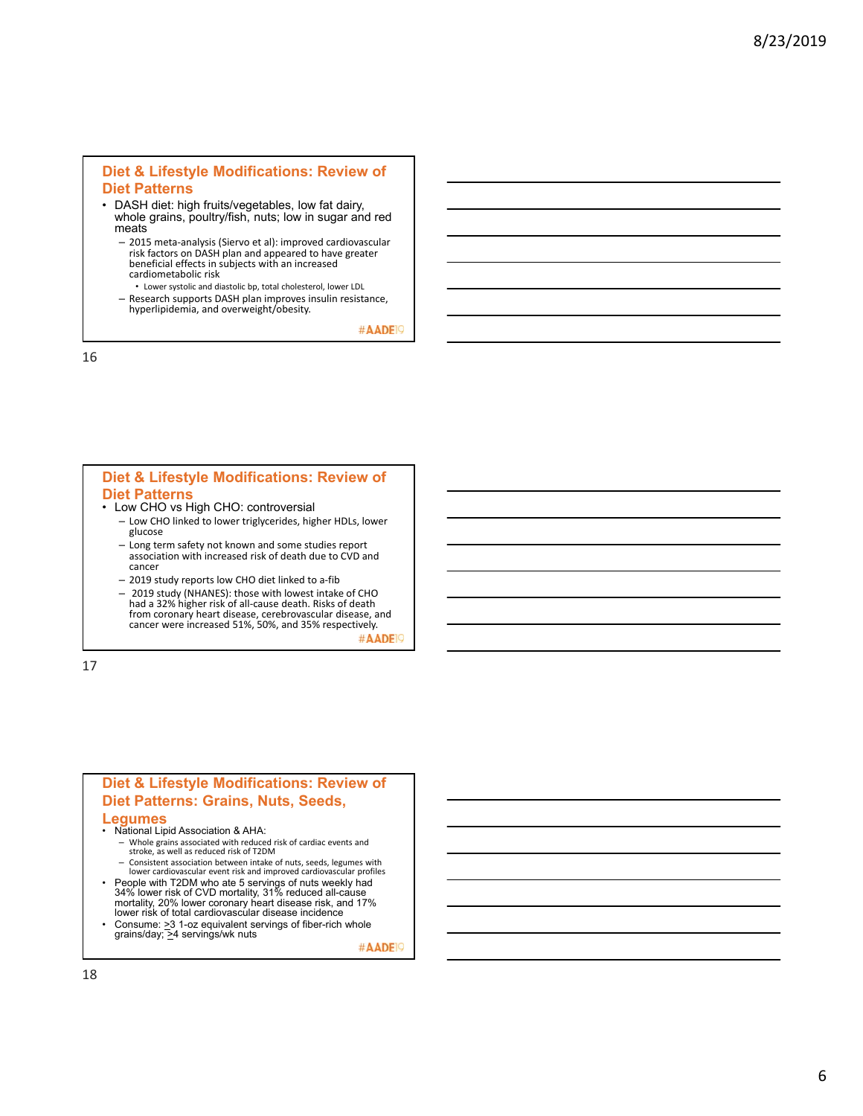#### **Diet & Lifestyle Modifications: Review of Diet Patterns**

- DASH diet: high fruits/vegetables, low fat dairy, whole grains, poultry/fish, nuts; low in sugar and red meats
	- 2015 meta‐analysis (Siervo et al): improved cardiovascular risk factors on DASH plan and appeared to have greater beneficial effects in subjects with an increased cardiometabolic risk
	- Lower systolic and diastolic bp, total cholesterol, lower LDL – Research supports DASH plan improves insulin resistance,
	- hyperlipidemia, and overweight/obesity.

#AADE<sup>19</sup>

16

#### **Diet & Lifestyle Modifications: Review of Diet Patterns**

- Low CHO vs High CHO: controversial
	- Low CHO linked to lower triglycerides, higher HDLs, lower glucose
	- Long term safety not known and some studies report association with increased risk of death due to CVD and cancer
	- 2019 study reports low CHO diet linked to a‐fib
	- 2019 study (NHANES): those with lowest intake of CHO<br>had a 32% higher risk of all-cause death. Risks of death<br>from coronary heart disease, cerebrovascular disease, and<br>cancer were increased 51%, 50%, and 35% respectively #AADE<sup>19</sup>

17

# **Diet & Lifestyle Modifications: Review of Diet Patterns: Grains, Nuts, Seeds,**

#### **Legumes**

- National Lipid Association & AHA:
	- Whole grains associated with reduced risk of cardiac events and stroke, as well as reduced risk of T2DM
- Consistent association between intake of nuts, seeds, legumes with lower cardiovascular event risk and improved cardiovascular profiles • People with T2DM who ate 5 servings of nuts weekly had 34% lower risk of CVD mortality, 31% reduced all-cause
- mortality, 20% lower coronary heart disease risk, and 17% lower risk of total cardiovascular disease incidence Consume:  $\geq$ 3 1-oz equivalent servings of fiber-rich whole
- grains/day; >4 servings/wk nuts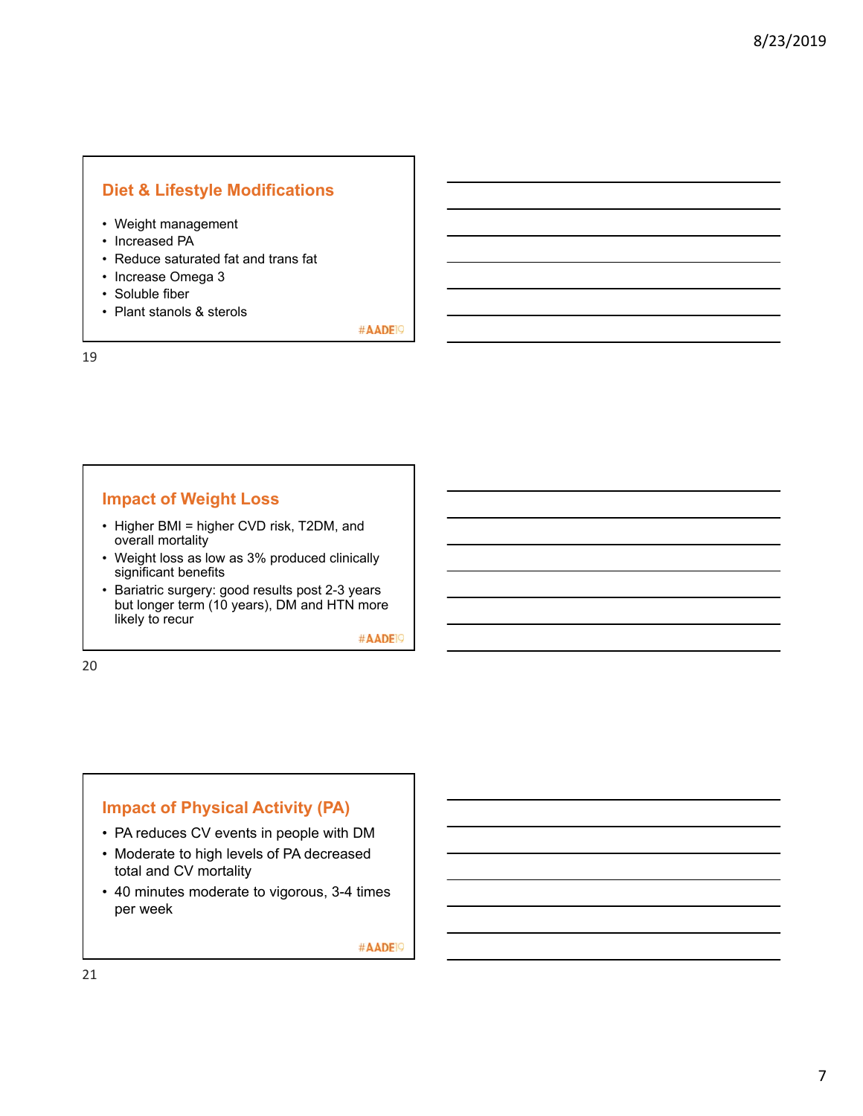# **Diet & Lifestyle Modifications**

- Weight management
- Increased PA
- Reduce saturated fat and trans fat
- Increase Omega 3
- Soluble fiber
- Plant stanols & sterols

#AADE<sup>19</sup>

# **Impact of Weight Loss**

- Higher BMI = higher CVD risk, T2DM, and overall mortality
- Weight loss as low as 3% produced clinically significant benefits
- Bariatric surgery: good results post 2-3 years but longer term (10 years), DM and HTN more likely to recur

#AADE<sup>19</sup>

20

19

## **Impact of Physical Activity (PA)**

- PA reduces CV events in people with DM
- Moderate to high levels of PA decreased total and CV mortality
- 40 minutes moderate to vigorous, 3-4 times per week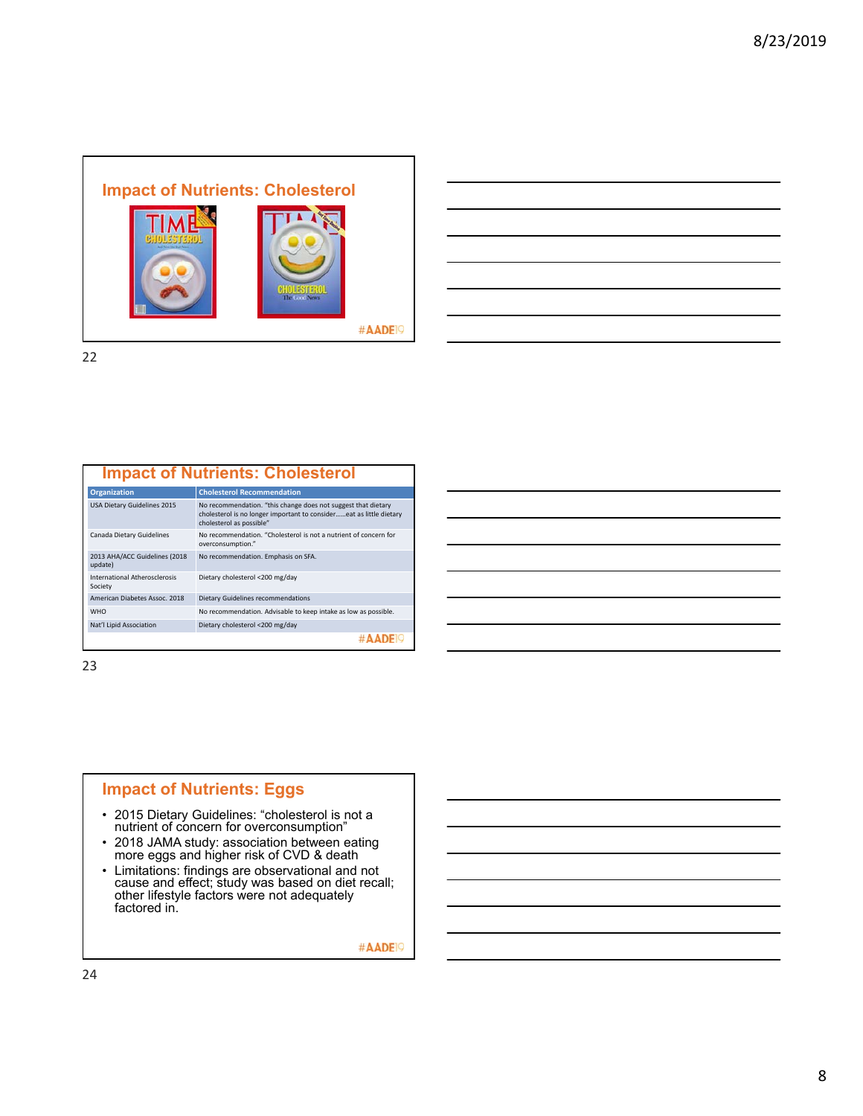

22

#### **Impact of Nutrients: Cholesterol**

| <b>Organization</b>                      | <b>Cholesterol Recommendation</b>                                                                                                                                |
|------------------------------------------|------------------------------------------------------------------------------------------------------------------------------------------------------------------|
| USA Dietary Guidelines 2015              | No recommendation. "this change does not suggest that dietary<br>cholesterol is no longer important to considereat as little dietary<br>cholesterol as possible" |
| Canada Dietary Guidelines                | No recommendation. "Cholesterol is not a nutrient of concern for<br>overconsumption."                                                                            |
| 2013 AHA/ACC Guidelines (2018<br>update) | No recommendation. Emphasis on SFA.                                                                                                                              |
| International Atherosclerosis<br>Society | Dietary cholesterol <200 mg/day                                                                                                                                  |
| American Diabetes Assoc. 2018            | Dietary Guidelines recommendations                                                                                                                               |
| <b>WHO</b>                               | No recommendation. Advisable to keep intake as low as possible.                                                                                                  |
| Nat'l Lipid Association                  | Dietary cholesterol <200 mg/day                                                                                                                                  |
|                                          |                                                                                                                                                                  |

23

## **Impact of Nutrients: Eggs**

- 2015 Dietary Guidelines: "cholesterol is not a nutrient of concern for overconsumption"
- 2018 JAMA study: association between eating more eggs and higher risk of CVD & death
- Limitations: findings are observational and not cause and effect; study was based on diet recall; other lifestyle factors were not adequately factored in.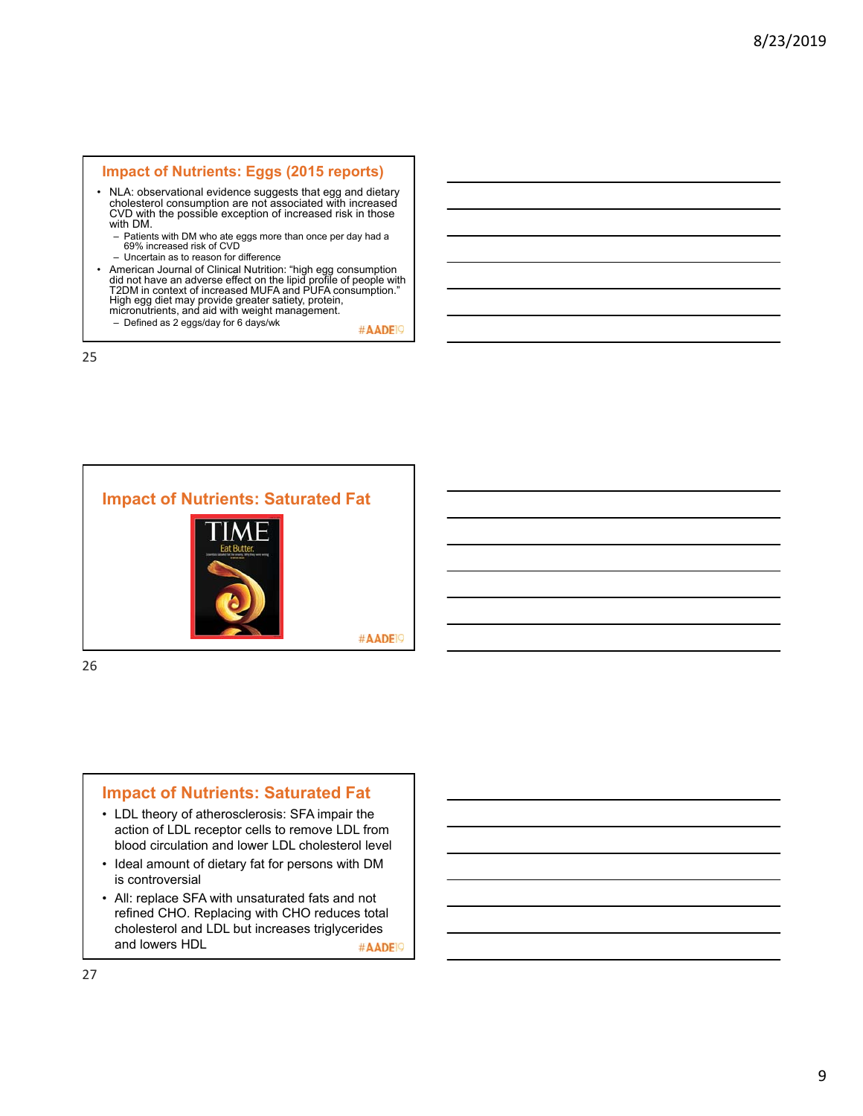#### **Impact of Nutrients: Eggs (2015 reports)**

- NLA: observational evidence suggests that egg and dietary cholesterol consumption are not associated with increased CVD with the possible exception of increased risk in those with DM.
	- Patients with DM who ate eggs more than once per day had a 69% increased risk of CVD
	- Uncertain as to reason for difference
- American Journal of Clinical Nutrition: "high egg consumption did not have an adverse effect on the lipid profile of people with T2DM in context of increased MUFA and PUFA consumption." High egg diet may provide greater satiety, protein, micronutrients, and aid with weight management.
	- Defined as 2 eggs/day for 6 days/wk

#AADE<sup>1</sup>

25



### **Impact of Nutrients: Saturated Fat**

- LDL theory of atherosclerosis: SFA impair the action of LDL receptor cells to remove LDL from blood circulation and lower LDL cholesterol level
- Ideal amount of dietary fat for persons with DM is controversial
- All: replace SFA with unsaturated fats and not refined CHO. Replacing with CHO reduces total cholesterol and LDL but increases triglycerides and lowers HDL #AADE<sup>19</sup>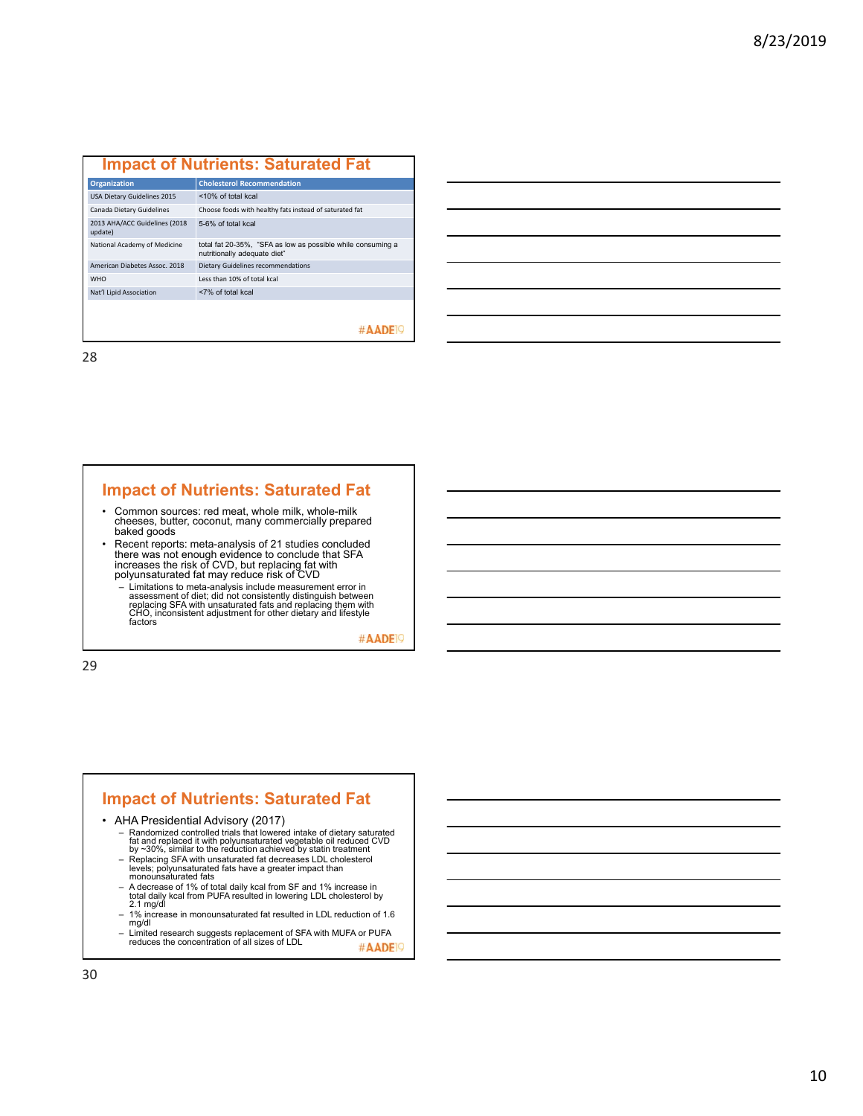### **Impact of Nutrients: Saturated Fat**

| <b>Organization</b>                      | <b>Cholesterol Recommendation</b>                                                           |
|------------------------------------------|---------------------------------------------------------------------------------------------|
| USA Dietary Guidelines 2015              | <10% of total kcal                                                                          |
| Canada Dietary Guidelines                | Choose foods with healthy fats instead of saturated fat                                     |
| 2013 AHA/ACC Guidelines (2018<br>update) | 5-6% of total kcal                                                                          |
| National Academy of Medicine             | total fat 20-35%, "SFA as low as possible while consuming a<br>nutritionally adequate diet" |
| American Diabetes Assoc. 2018            | Dietary Guidelines recommendations                                                          |
| <b>WHO</b>                               | Less than 10% of total kcal                                                                 |
| Nat'l Lipid Association                  | <7% of total kcal                                                                           |
|                                          |                                                                                             |
|                                          |                                                                                             |

#### #AADE<sup>19</sup>

28

### **Impact of Nutrients: Saturated Fat**

- Common sources: red meat, whole milk, whole-milk cheeses, butter, coconut, many commercially prepared baked goods
- Recent reports: meta-analysis of 21 studies concluded there was not enough evidence to conclude that SFA increases the risk of CVD, but replacing fat with polyunsaturated fat may reduce risk of CVD
	- Limitations to meta-analysis include measurement error in<br>assessment of diet; did not consistently distinguish between<br>replacing SFA with unsaturated fats and replacing them with<br>CHO, inconsistent adjustment for other di

#AADE<sup>19</sup>

29

#### **Impact of Nutrients: Saturated Fat**

• AHA Presidential Advisory (2017)

- Randomized controlled trials that lowered intake of dietary saturated<br>fat and replaced it with polyunsaturated vegetable oil reduced CVD<br>by ~30%, similar to the reduction achieved by statin treatment<br>- Replacing SFA with
- 
- 
- 1% increase in monounsaturated fat resulted in LDL reduction of 1.6 mg/dl
- Limited research suggests replacement of SFA with MUFA or PUFA<br>reduces the concentration of all sizes of LDL #AADE<sup>19</sup>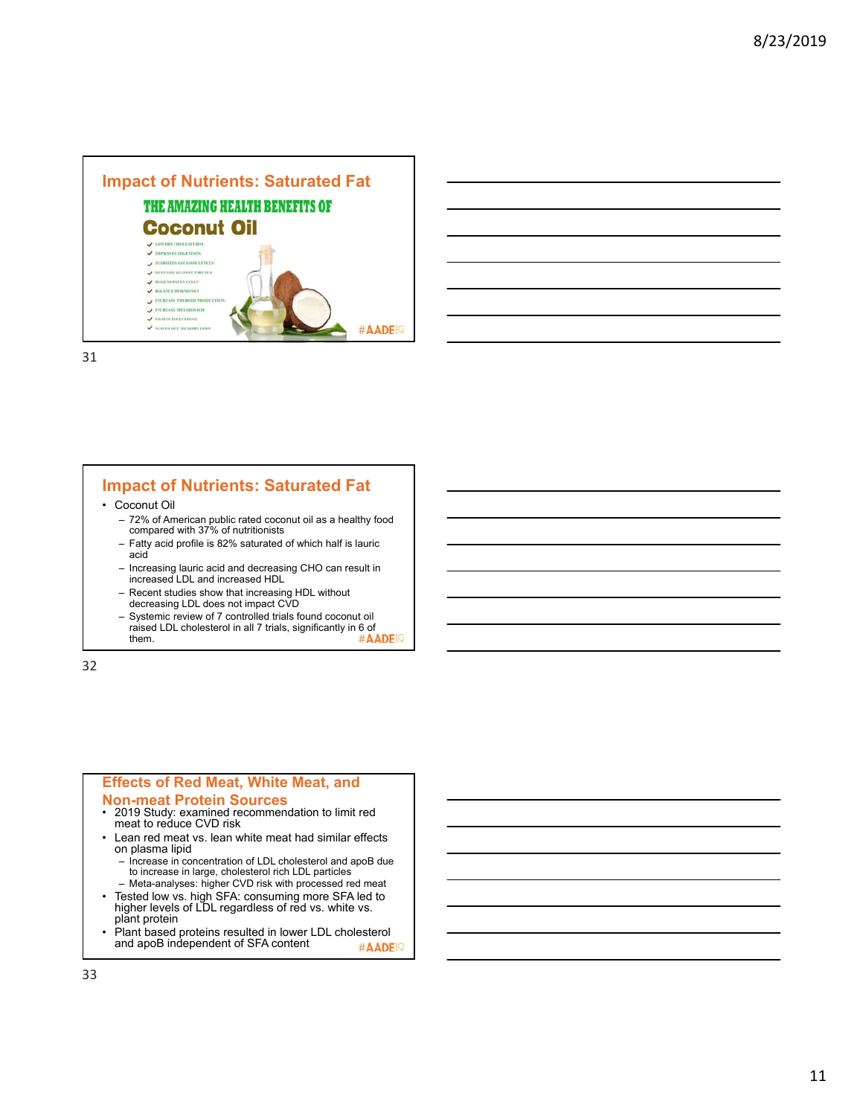



31

### **Impact of Nutrients: Saturated Fat**

• Coconut Oil

- 72% of American public rated coconut oil as a healthy food compared with 37% of nutritionists
- Fatty acid profile is 82% saturated of which half is lauric acid
- Increasing lauric acid and decreasing CHO can result in increased LDL and increased HDL
- Recent studies show that increasing HDL without decreasing LDL does not impact CVD
- Systemic review of 7 controlled trials found coconut oil raised LDL cholesterol in all 7 trials, significantly in 6 of them.

32

# **Effects of Red Meat, White Meat, and**

#### **Non-meat Protein Sources**

- 2019 Study: examined recommendation to limit red meat to reduce CVD risk
- Lean red meat vs. lean white meat had similar effects on plasma lipid
	- Increase in concentration of LDL cholesterol and apoB due to increase in large, cholesterol rich LDL particles
- Meta-analyses: higher CVD risk with processed red meat • Tested low vs. high SFA: consuming more SFA led to higher levels of LDL regardless of red vs. white vs. plant protein
- Plant based proteins resulted in lower LDL cholesterol and apoB independent of SFA content #AADE<sup>19</sup>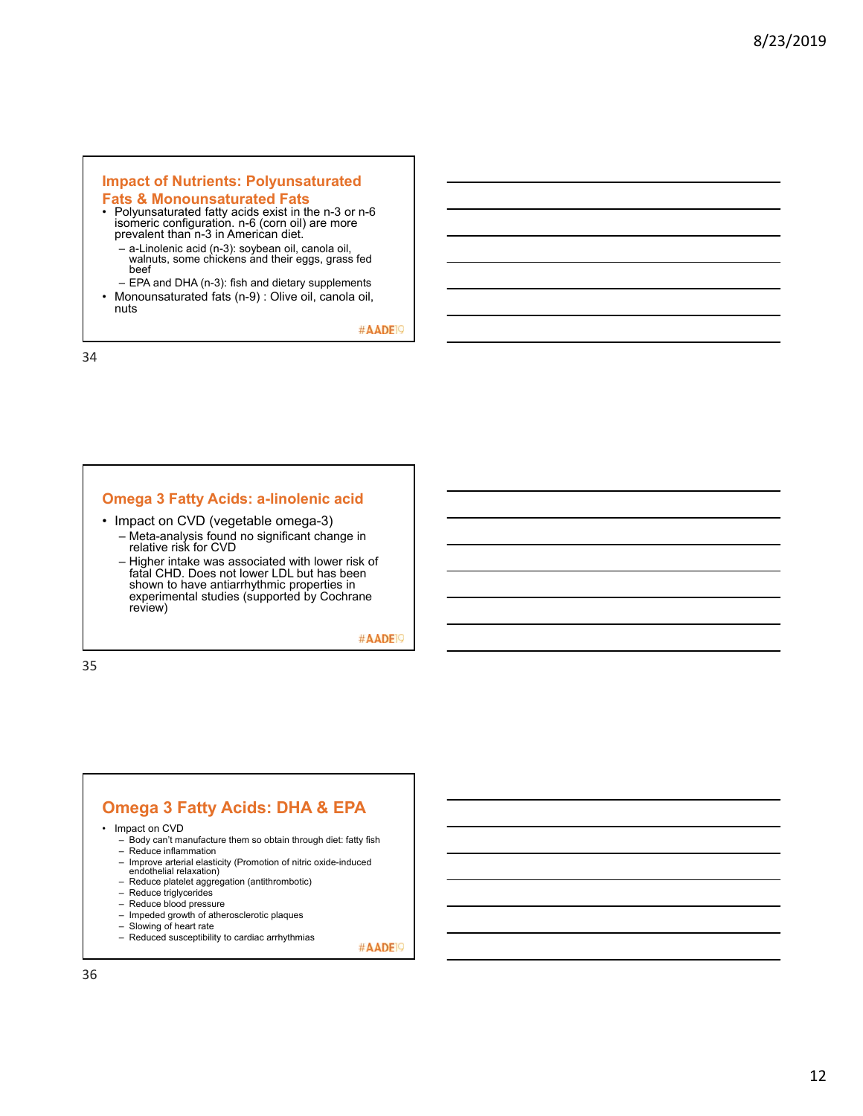# **Impact of Nutrients: Polyunsaturated**

### **Fats & Monounsaturated Fats**

- Polyunsaturated fatty acids exist in the n-3 or n-6 isomeric configuration. n-6 (corn oil) are more prevalent than n-3 in American diet.
	- a-Linolenic acid (n-3): soybean oil, canola oil, walnuts, some chickens and their eggs, grass fed beef
- EPA and DHA (n-3): fish and dietary supplements • Monounsaturated fats (n-9) : Olive oil, canola oil,
	- nuts

#AADE<sup>19</sup>

34

#### **Omega 3 Fatty Acids: a-linolenic acid**

- Impact on CVD (vegetable omega-3)
	- Meta-analysis found no significant change in relative risk for CVD
	- Higher intake was associated with lower risk of fatal CHD. Does not lower LDL but has been shown to have antiarrhythmic properties in experimental studies (supported by Cochrane review)

#AADE<sup>19</sup>

35

### **Omega 3 Fatty Acids: DHA & EPA**

- Impact on CVD
	- Body can't manufacture them so obtain through diet: fatty fish
	- Reduce inflammation
	- Improve arterial elasticity (Promotion of nitric oxide-induced endothelial relaxation)
	- Reduce platelet aggregation (antithrombotic)
	- Reduce triglycerides
	- Reduce blood pressure
	- Impeded growth of atherosclerotic plaques
	- Slowing of heart rate
	- Reduced susceptibility to cardiac arrhythmias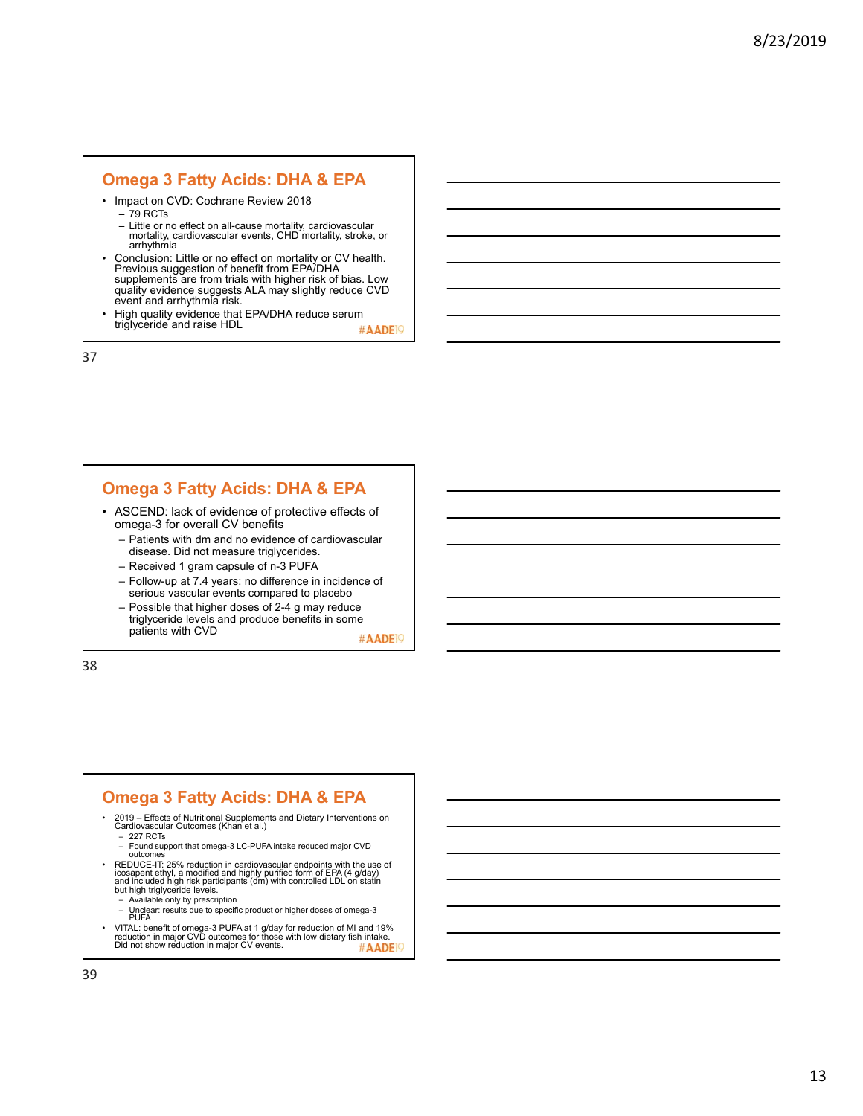### **Omega 3 Fatty Acids: DHA & EPA**

- Impact on CVD: Cochrane Review 2018
	- $-79$  RCTs
	- Little or no effect on all-cause mortality, cardiovascular mortality, cardiovascular events, CHD mortality, stroke, or arrhythmia
- Conclusion: Little or no effect on mortality or CV health. Previous suggestion of benefit from EPA/DHA supplements are from trials with higher risk of bias. Low quality evidence suggests ALA may slightly reduce CVD event and arrhythmia risk.
- High quality evidence that EPA/DHA reduce serum triglyceride and raise HDL #AADE<sup>19</sup>

37

# **Omega 3 Fatty Acids: DHA & EPA**

- ASCEND: lack of evidence of protective effects of omega-3 for overall CV benefits
	- Patients with dm and no evidence of cardiovascular disease. Did not measure triglycerides.
	- Received 1 gram capsule of n-3 PUFA
	- Follow-up at 7.4 years: no difference in incidence of serious vascular events compared to placebo
	- Possible that higher doses of 2-4 g may reduce triglyceride levels and produce benefits in some patients with CVD

#AADE<sup>19</sup>

38

### **Omega 3 Fatty Acids: DHA & EPA**

- 2019 Effects of Nutritional Supplements and Dietary Interventions on Cardiovascular Outcomes (Khan et al.)
	- 227 RCTs
	- Found support that omega-3 LC-PUFA intake reduced major CVD outcomes
- REDUCE-IT: 25% reduction in cardiovascular endpoints with the use of icosapent ethyl, a modified and highly purified form of EPA (4 g/day)<br>and included high risk participants (dm) with controlled LDL on statin<br>but high t
	- Available only by prescription
	- Unclear: results due to specific product or higher doses of omega-3 PUFA
- VITAL: benefit of omega-3 PUFA at 1 g/day for reduction of MI and 19%<br>reduction in major CVD outcomes for those with low dietary fish intake.<br>Did not show reduction in major CV events. #AADE<sup>19</sup>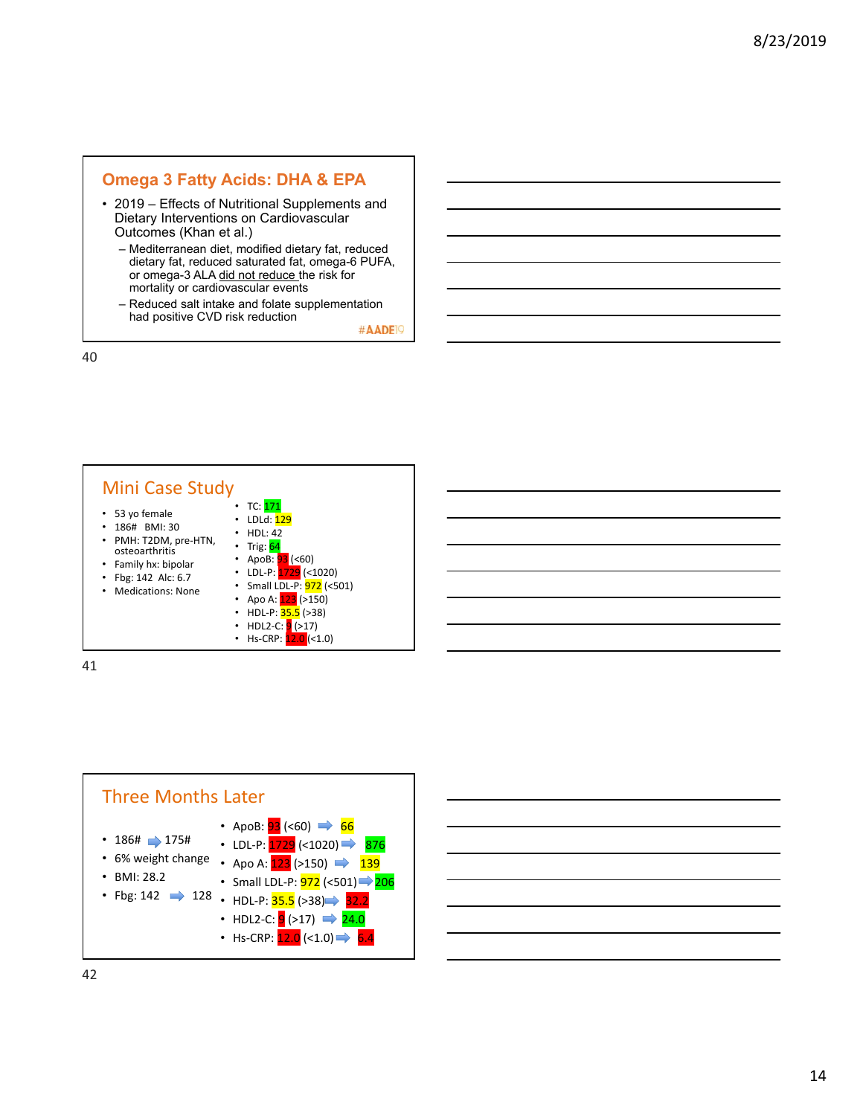# **Omega 3 Fatty Acids: DHA & EPA**

- 2019 Effects of Nutritional Supplements and Dietary Interventions on Cardiovascular Outcomes (Khan et al.)
	- Mediterranean diet, modified dietary fat, reduced dietary fat, reduced saturated fat, omega-6 PUFA, or omega-3 ALA did not reduce the risk for mortality or cardiovascular events
	- Reduced salt intake and folate supplementation had positive CVD risk reduction

#AADE<sup>19</sup>

40



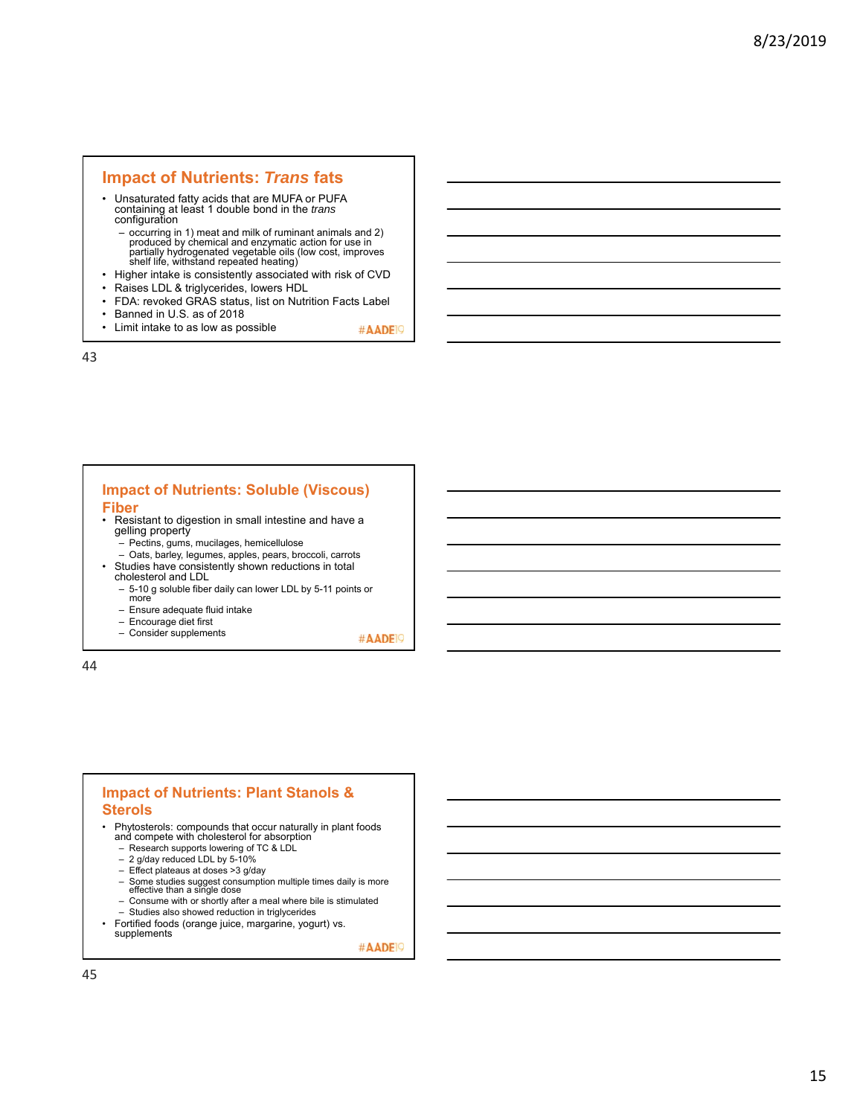### **Impact of Nutrients:** *Trans* **fats**

- Unsaturated fatty acids that are MUFA or PUFA containing at least 1 double bond in the *trans* configuration
	- occurring in 1) meat and milk of ruminant animals and 2) produced by chemical and enzymatic action for use in partially hydrogenated vegetable oils (low cost, improves shelf life, withstand repeated heating)
- Higher intake is consistently associated with risk of CVD<br>• Raises I DL & triglycerides Jowers HDL
- Raises LDL & triglycerides, lowers HDL<br>• FDA: revoked GRAS status, list on Nutri
- FDA: revoked GRAS status, list on Nutrition Facts Label
- Banned in U.S. as of 2018
- Limit intake to as low as possible

43

# **Impact of Nutrients: Soluble (Viscous)**

- **Fiber**
- Resistant to digestion in small intestine and have a gelling property
	- Pectins, gums, mucilages, hemicellulose
- Oats, barley, legumes, apples, pears, broccoli, carrots Studies have consistently shown reductions in total cholesterol and LDL
	- 5-10 g soluble fiber daily can lower LDL by 5-11 points or more
	- Ensure adequate fluid intake
	- Encourage diet first
	- Consider supplements

#AADE<sup>19</sup>

#AADE<sup>19</sup>

44

#### **Impact of Nutrients: Plant Stanols & Sterols**

• Phytosterols: compounds that occur naturally in plant foods and compete with cholesterol for absorption

- Research supports lowering of TC & LDL
- 2 g/day reduced LDL by 5-10%
- Effect plateaus at doses >3 g/day
- Some studies suggest consumption multiple times daily is more effective than a single dose
- Consume with or shortly after a meal where bile is stimulated – Studies also showed reduction in triglycerides
- Fortified foods (orange juice, margarine, yogurt) vs.
	- supplements #AADE<sup>19</sup>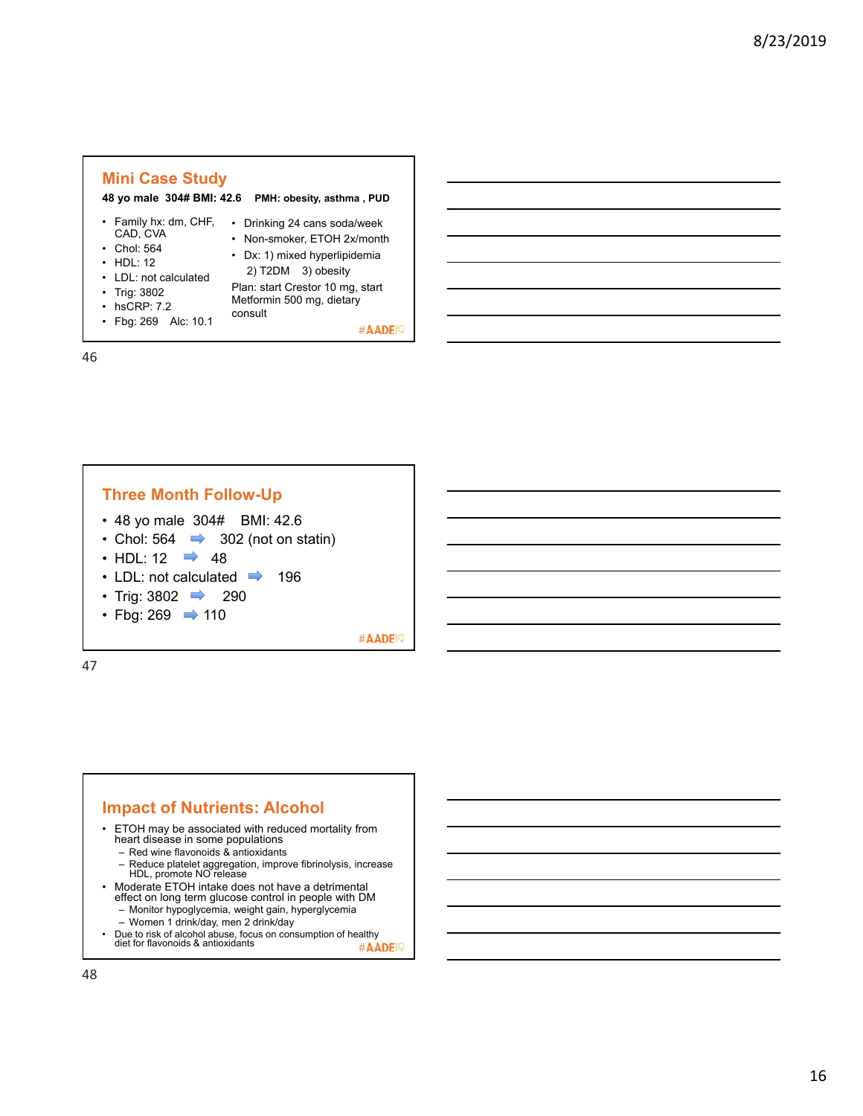

46





• ETOH may be associated with reduced mortality from heart disease in some populations

– Red wine flavonoids & antioxidants

- Reduce platelet aggregation, improve fibrinolysis, increase HDL, promote NO release
- Moderate ETOH intake does not have a detrimental effect on long term glucose control in people with DM
	- Monitor hypoglycemia, weight gain, hyperglycemia
	- Women 1 drink/day, men 2 drink/day
- Due to risk of alcohol abuse, focus on consumption of healthy diet for flavonoids & antioxidants #AADE<sup>1</sup>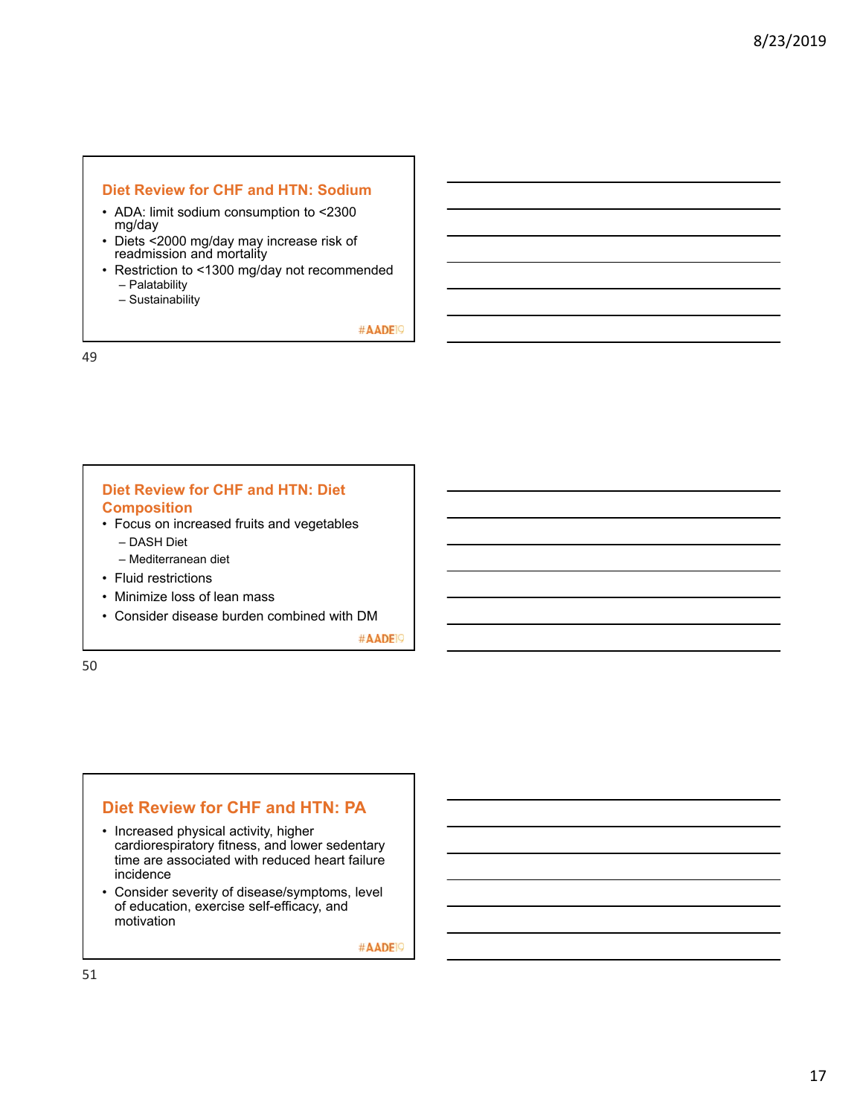#### **Diet Review for CHF and HTN: Sodium**

- ADA: limit sodium consumption to <2300 mg/day
- Diets <2000 mg/day may increase risk of readmission and mortality
- Restriction to <1300 mg/day not recommended – Palatability
	- Sustainability

#AADE<sup>19</sup>

49

### **Diet Review for CHF and HTN: Diet Composition**

- Focus on increased fruits and vegetables
	- DASH Diet
	- Mediterranean diet
- Fluid restrictions
- Minimize loss of lean mass
- Consider disease burden combined with DM

#AADE<sup>19</sup>

50

### **Diet Review for CHF and HTN: PA**

- Increased physical activity, higher cardiorespiratory fitness, and lower sedentary time are associated with reduced heart failure incidence
- Consider severity of disease/symptoms, level of education, exercise self-efficacy, and motivation